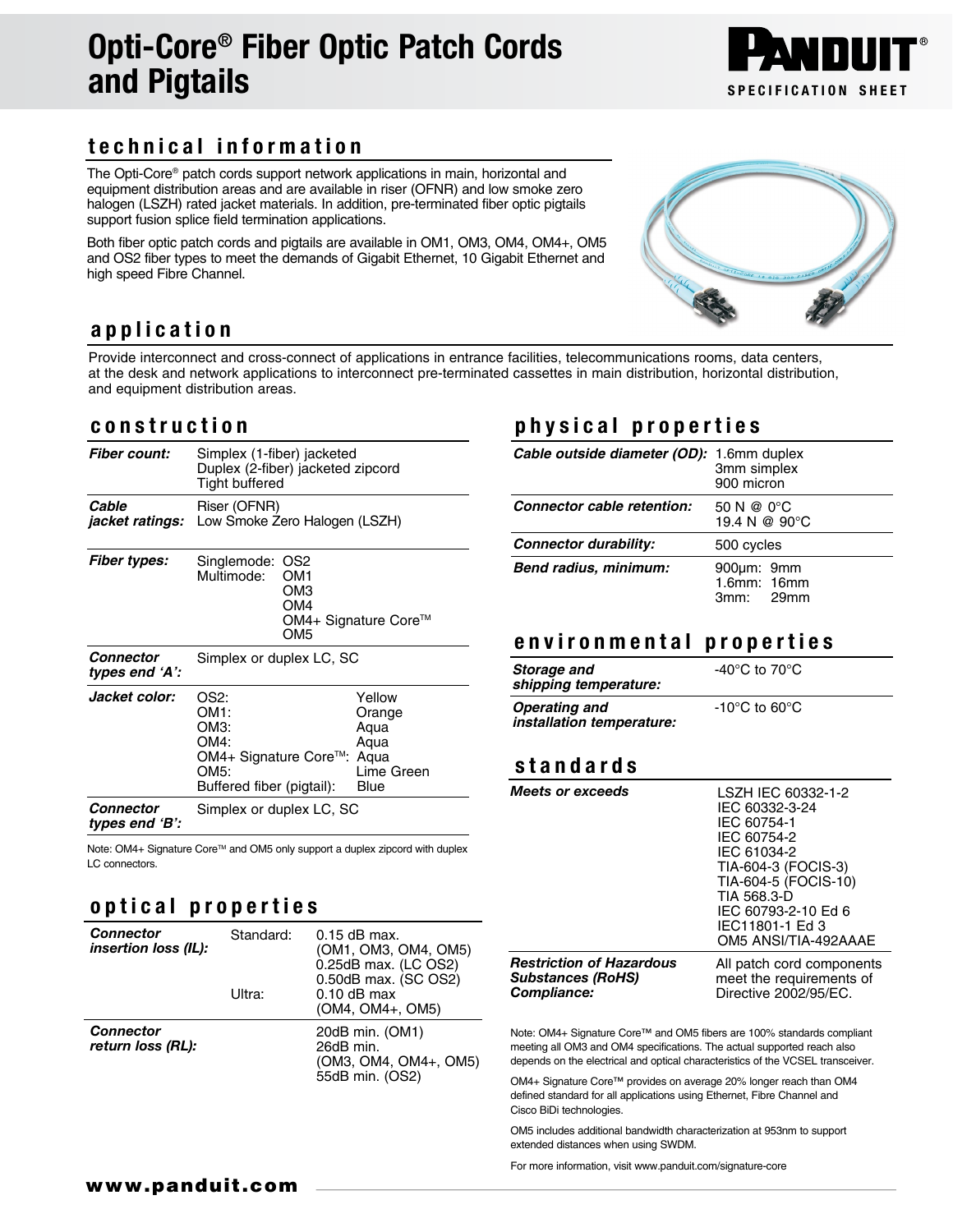# Opti-Core® Fiber Optic Patch Cords and Pigtails Specification SHEET

# technical information

The Opti-Core® patch cords support network applications in main, horizontal and equipment distribution areas and are available in riser (OFNR) and low smoke zero halogen (LSZH) rated jacket materials. In addition, pre-terminated fiber optic pigtails support fusion splice field termination applications.

Both fiber optic patch cords and pigtails are available in OM1, OM3, OM4, OM4+, OM5 and OS2 fiber types to meet the demands of Gigabit Ethernet, 10 Gigabit Ethernet and high speed Fibre Channel.

#### application

Provide interconnect and cross-connect of applications in entrance facilities, telecommunications rooms, data centers, at the desk and network applications to interconnect pre-terminated cassettes in main distribution, horizontal distribution, and equipment distribution areas.

#### construction

| <b>Fiber count:</b>             | Simplex (1-fiber) jacketed<br>Duplex (2-fiber) jacketed zipcord<br>Tight buffered          |                                                                |
|---------------------------------|--------------------------------------------------------------------------------------------|----------------------------------------------------------------|
| Cable<br><i>jacket ratings:</i> | Riser (OFNR)<br>Low Smoke Zero Halogen (LSZH)                                              |                                                                |
| <b>Fiber types:</b>             | Singlemode:<br>OS <sub>2</sub><br>Multimode:<br>OM1<br>OM3<br>OM4<br>OM <sub>5</sub>       | OM4+ Signature Core™                                           |
| Connector<br>types end 'A':     | Simplex or duplex LC, SC                                                                   |                                                                |
| <i><b>Jacket color:</b></i>     | OS2:<br>OM1:<br>ОМЗ:<br>OM4:<br>OM4+ Signature Core™:<br>OM5:<br>Buffered fiber (pigtail): | Yellow<br>Orange<br>Agua<br>Aqua<br>Aqua<br>Lime Green<br>Blue |
| Connector<br>types end 'B':     | Simplex or duplex LC, SC                                                                   |                                                                |

Note: OM4+ Signature Core™ and OM5 only support a duplex zipcord with duplex LC connectors.

### optical properties

| Connector<br><i>insertion loss (IL):</i> | Standard:<br>Ultra: | $0.15$ dB max.<br>(OM1, OM3, OM4, OM5)<br>0.25dB max. (LC OS2)<br>0.50dB max. (SC OS2)<br>$0.10$ dB max<br>(OM4, OM4+, OM5) |
|------------------------------------------|---------------------|-----------------------------------------------------------------------------------------------------------------------------|
| Connector<br>return loss (RL):           |                     | 20dB min. (OM1)<br>26dB min.<br>(OM3, OM4, OM4+, OM5)<br>55dB min. (OS2)                                                    |

## physical properties

| Cable outside diameter (OD): 1.6mm duplex | 3mm simplex<br>900 micron               |  |
|-------------------------------------------|-----------------------------------------|--|
| Connector cable retention:                | 50 N @ 0°C<br>19.4 N @ 90°C             |  |
| Connector durability:                     | 500 cycles                              |  |
| Bend radius, minimum:                     | 900um: 9mm<br>1.6mm: 16mm<br>$3mm$ 29mm |  |

### environmental properties

| Storage and<br>shipping temperature:              | -40 $^{\circ}$ C to 70 $^{\circ}$ C |  |
|---------------------------------------------------|-------------------------------------|--|
| <b>Operating and</b><br>installation temperature: | $-10^{\circ}$ C to 60 $^{\circ}$ C  |  |

#### standards

| <b>Meets or exceeds</b>         | LSZH IEC 60332-1-2<br>IEC 60332-3-24<br>IEC 60754-1<br>IEC 60754-2<br>IEC 61034-2<br>TIA-604-3 (FOCIS-3)<br>TIA-604-5 (FOCIS-10)<br>TIA 568.3-D<br>IEC 60793-2-10 Ed 6<br>IEC11801-1 Ed 3<br>OM5 ANSI/TIA-492AAAE |
|---------------------------------|-------------------------------------------------------------------------------------------------------------------------------------------------------------------------------------------------------------------|
| <b>Restriction of Hazardous</b> | All patch cord components                                                                                                                                                                                         |
| <b>Substances (RoHS)</b>        | meet the requirements of                                                                                                                                                                                          |
| Compliance:                     | Directive 2002/95/EC.                                                                                                                                                                                             |

Note: OM4+ Signature Core™ and OM5 fibers are 100% standards compliant meeting all OM3 and OM4 specifications. The actual supported reach also depends on the electrical and optical characteristics of the VCSEL transceiver.

OM4+ Signature Core™ provides on average 20% longer reach than OM4 defined standard for all applications using Ethernet, Fibre Channel and Cisco BiDi technologies.

OM5 includes additional bandwidth characterization at 953nm to support extended distances when using SWDM.

For more information, visit www.panduit.com/signature-core